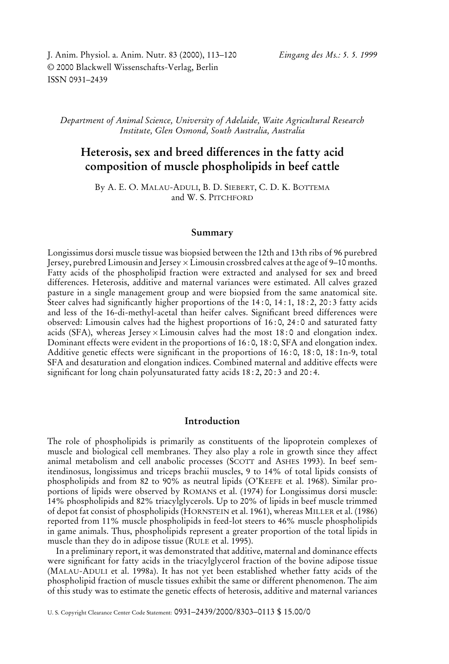J. Anim. Physiol. a. Anim. Nutr. 83 (2000), 113–120 *Eingang des Ms.: 5. 5. 1999* © 2000 Blackwell Wissenschafts-Verlag, Berlin ISSN 0931–2439

*Department of Animal Science, University of Adelaide, Waite Agricultural Research Institute, Glen Osmond, South Australia, Australia*

# **Heterosis, sex and breed differences in the fatty acid composition of muscle phospholipids in beef cattle**

By A. E. O. MALAU-ADULI, B. D. SIEBERT, C. D. K. BOTTEMA and W. S. PITCHFORD

# **Summary**

Longissimus dorsi muscle tissue was biopsied between the 12th and 13th ribs of 96 purebred Jersey, purebred Limousin and Jersey×Limousin crossbred calves at the age of 9–10 months. Fatty acids of the phospholipid fraction were extracted and analysed for sex and breed differences. Heterosis, additive and maternal variances were estimated. All calves grazed pasture in a single management group and were biopsied from the same anatomical site. Steer calves had significantly higher proportions of the 14:0, 14:1, 18:2, 20:3 fatty acids and less of the 16-di-methyl-acetal than heifer calves. Significant breed differences were observed: Limousin calves had the highest proportions of 16 : 0, 24 : 0 and saturated fatty acids (SFA), whereas Jersey  $\times$  Limousin calves had the most 18:0 and elongation index. Dominant effects were evident in the proportions of 16 : 0, 18 : 0, SFA and elongation index. Additive genetic effects were significant in the proportions of 16 : 0, 18 : 0, 18 : 1n-9, total SFA and desaturation and elongation indices. Combined maternal and additive effects were significant for long chain polyunsaturated fatty acids 18 : 2, 20 : 3 and 20 : 4.

# **Introduction**

The role of phospholipids is primarily as constituents of the lipoprotein complexes of muscle and biological cell membranes. They also play a role in growth since they affect animal metabolism and cell anabolic processes (SCOTT and ASHES 1993). In beef semitendinosus, longissimus and triceps brachii muscles, 9 to 14% of total lipids consists of phospholipids and from 82 to 90% as neutral lipids (O'KEEFE et al. 1968). Similar proportions of lipids were observed by ROMANS et al. (1974) for Longissimus dorsi muscle: 14% phospholipids and 82% triacylglycerols. Up to 20% of lipids in beef muscle trimmed of depot fat consist of phospholipids (HORNSTEIN et al. 1961), whereas MILLER et al. (1986) reported from 11% muscle phospholipids in feed-lot steers to 46% muscle phospholipids in game animals. Thus, phospholipids represent a greater proportion of the total lipids in muscle than they do in adipose tissue (RULE et al. 1995).

In a preliminary report, it was demonstrated that additive, maternal and dominance effects were significant for fatty acids in the triacylglycerol fraction of the bovine adipose tissue (MALAU-ADULI et al. 1998a). It has not yet been established whether fatty acids of the phospholipid fraction of muscle tissues exhibit the same or different phenomenon. The aim of this study was to estimate the genetic effects of heterosis, additive and maternal variances

U. S. Copyright Clearance Center Code Statement: 0931–2439/2000/8303–0113 \$ 15.00/0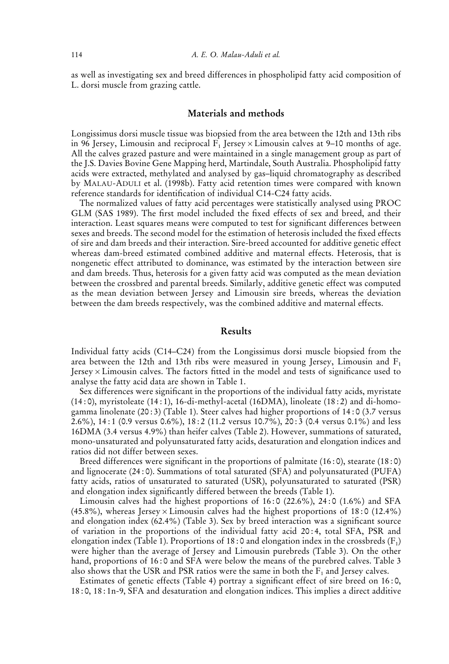as well as investigating sex and breed differences in phospholipid fatty acid composition of L. dorsi muscle from grazing cattle.

## **Materials and methods**

Longissimus dorsi muscle tissue was biopsied from the area between the 12th and 13th ribs in 96 Jersey, Limousin and reciprocal  $F_1$  Jersey  $\times$  Limousin calves at 9–10 months of age. All the calves grazed pasture and were maintained in a single management group as part of the J.S. Davies Bovine Gene Mapping herd, Martindale, South Australia. Phospholipid fatty acids were extracted, methylated and analysed by gas–liquid chromatography as described by MALAU-ADULI et al. (1998b). Fatty acid retention times were compared with known reference standards for identification of individual C14-C24 fatty acids.

The normalized values of fatty acid percentages were statistically analysed using PROC GLM (SAS 1989). The first model included the fixed effects of sex and breed, and their interaction. Least squares means were computed to test for significant differences between sexes and breeds. The second model for the estimation of heterosis included the fixed effects of sire and dam breeds and their interaction. Sire-breed accounted for additive genetic effect whereas dam-breed estimated combined additive and maternal effects. Heterosis, that is nongenetic effect attributed to dominance, was estimated by the interaction between sire and dam breeds. Thus, heterosis for a given fatty acid was computed as the mean deviation between the crossbred and parental breeds. Similarly, additive genetic effect was computed as the mean deviation between Jersey and Limousin sire breeds, whereas the deviation between the dam breeds respectively, was the combined additive and maternal effects.

#### **Results**

Individual fatty acids (C14–C24) from the Longissimus dorsi muscle biopsied from the area between the 12th and 13th ribs were measured in young Jersey, Limousin and  $F_1$ Jersey  $\times$  Limousin calves. The factors fitted in the model and tests of significance used to analyse the fatty acid data are shown in Table 1.

Sex differences were significant in the proportions of the individual fatty acids, myristate  $(14:0)$ , myristoleate  $(14:1)$ , 16-di-methyl-acetal  $(16DMA)$ , linoleate  $(18:2)$  and di-homogamma linolenate  $(20:3)$  (Table 1). Steer calves had higher proportions of 14:0 (3.7 versus 2.6%), 14 : 1 (0.9 versus 0.6%), 18 : 2 (11.2 versus 10.7%), 20 : 3 (0.4 versus 0.1%) and less 16DMA (3.4 versus 4.9%) than heifer calves (Table 2). However, summations of saturated, mono-unsaturated and polyunsaturated fatty acids, desaturation and elongation indices and ratios did not differ between sexes.

Breed differences were significant in the proportions of palmitate (16 : 0), stearate (18 : 0) and lignocerate (24 : 0). Summations of total saturated (SFA) and polyunsaturated (PUFA) fatty acids, ratios of unsaturated to saturated (USR), polyunsaturated to saturated (PSR) and elongation index significantly differed between the breeds (Table 1).

Limousin calves had the highest proportions of  $16:0$  (22.6%),  $24:0$  (1.6%) and SFA (45.8%), whereas Jersey  $\times$  Limousin calves had the highest proportions of 18:0 (12.4%) and elongation index (62.4%) (Table 3). Sex by breed interaction was a significant source of variation in the proportions of the individual fatty acid 20 : 4, total SFA, PSR and elongation index (Table 1). Proportions of 18:0 and elongation index in the crossbreds  $(F_1)$ were higher than the average of Jersey and Limousin purebreds (Table 3). On the other hand, proportions of 16:0 and SFA were below the means of the purebred calves. Table 3 also shows that the USR and PSR ratios were the same in both the  $F_1$  and Jersey calves.

Estimates of genetic effects (Table 4) portray a significant effect of sire breed on 16 : 0, 18 : 0, 18 : 1n-9, SFA and desaturation and elongation indices. This implies a direct additive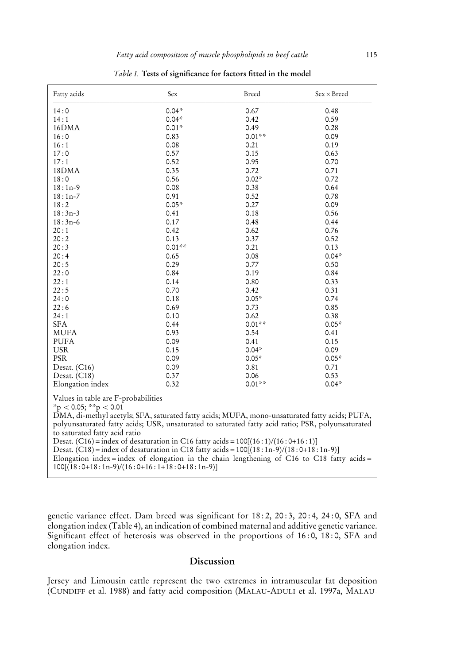| Fatty acids                                                                                                                                                                                                                                                                                                                                                                                                                                                                                                                                                                                                                            | Sex      | Breed    | $Sex \times Breed$ |  |  |
|----------------------------------------------------------------------------------------------------------------------------------------------------------------------------------------------------------------------------------------------------------------------------------------------------------------------------------------------------------------------------------------------------------------------------------------------------------------------------------------------------------------------------------------------------------------------------------------------------------------------------------------|----------|----------|--------------------|--|--|
| 14:0                                                                                                                                                                                                                                                                                                                                                                                                                                                                                                                                                                                                                                   | $0.04*$  | 0.67     | 0.48               |  |  |
| 14:1                                                                                                                                                                                                                                                                                                                                                                                                                                                                                                                                                                                                                                   | $0.04*$  | 0.42     | 0.59               |  |  |
| 16DMA                                                                                                                                                                                                                                                                                                                                                                                                                                                                                                                                                                                                                                  | $0.01*$  | 0.49     | 0.28               |  |  |
| 16:0                                                                                                                                                                                                                                                                                                                                                                                                                                                                                                                                                                                                                                   | 0.83     | $0.01**$ | 0.09               |  |  |
| 16:1                                                                                                                                                                                                                                                                                                                                                                                                                                                                                                                                                                                                                                   | 0.08     | 0.21     | 0.19               |  |  |
| 17:0                                                                                                                                                                                                                                                                                                                                                                                                                                                                                                                                                                                                                                   | 0.57     | 0.15     | 0.63               |  |  |
| 17:1                                                                                                                                                                                                                                                                                                                                                                                                                                                                                                                                                                                                                                   | 0.52     | 0.95     | 0.70               |  |  |
| 18DMA                                                                                                                                                                                                                                                                                                                                                                                                                                                                                                                                                                                                                                  | 0.35     | 0.72     | 0.71               |  |  |
| 18:0                                                                                                                                                                                                                                                                                                                                                                                                                                                                                                                                                                                                                                   | 0.56     | $0.02*$  | 0.72               |  |  |
| $18:1n-9$                                                                                                                                                                                                                                                                                                                                                                                                                                                                                                                                                                                                                              | 0.08     | 0.38     | 0.64               |  |  |
| $18:1n-7$                                                                                                                                                                                                                                                                                                                                                                                                                                                                                                                                                                                                                              | 0.91     | 0.52     | 0.78               |  |  |
| 18:2                                                                                                                                                                                                                                                                                                                                                                                                                                                                                                                                                                                                                                   | $0.05*$  | 0.27     | 0.09               |  |  |
| $18:3n-3$                                                                                                                                                                                                                                                                                                                                                                                                                                                                                                                                                                                                                              | 0.41     | 0.18     | 0.56               |  |  |
| $18:3n-6$                                                                                                                                                                                                                                                                                                                                                                                                                                                                                                                                                                                                                              | 0.17     | 0.48     | 0.44               |  |  |
| 20:1                                                                                                                                                                                                                                                                                                                                                                                                                                                                                                                                                                                                                                   | 0.42     | 0.62     | 0.76               |  |  |
| 20:2                                                                                                                                                                                                                                                                                                                                                                                                                                                                                                                                                                                                                                   | 0.13     | 0.37     | 0.52               |  |  |
| 20:3                                                                                                                                                                                                                                                                                                                                                                                                                                                                                                                                                                                                                                   | $0.01**$ | 0.21     | 0.13               |  |  |
| 20:4                                                                                                                                                                                                                                                                                                                                                                                                                                                                                                                                                                                                                                   | 0.65     | 0.08     | $0.04*$            |  |  |
| 20:5                                                                                                                                                                                                                                                                                                                                                                                                                                                                                                                                                                                                                                   | 0.29     | 0.77     | 0.50               |  |  |
| 22:0                                                                                                                                                                                                                                                                                                                                                                                                                                                                                                                                                                                                                                   | 0.84     | 0.19     | 0.84               |  |  |
| 22:1                                                                                                                                                                                                                                                                                                                                                                                                                                                                                                                                                                                                                                   | 0.14     | 0.80     | 0.33               |  |  |
| 22:5                                                                                                                                                                                                                                                                                                                                                                                                                                                                                                                                                                                                                                   | 0.70     | 0.42     | 0.31               |  |  |
| 24:0                                                                                                                                                                                                                                                                                                                                                                                                                                                                                                                                                                                                                                   | 0.18     | $0.05*$  | 0.74               |  |  |
| 22:6                                                                                                                                                                                                                                                                                                                                                                                                                                                                                                                                                                                                                                   | 0.69     | 0.73     | 0.85               |  |  |
| 24:1                                                                                                                                                                                                                                                                                                                                                                                                                                                                                                                                                                                                                                   | 0.10     | 0.62     | 0.38               |  |  |
| <b>SFA</b>                                                                                                                                                                                                                                                                                                                                                                                                                                                                                                                                                                                                                             | 0.44     | $0.01**$ | $0.05*$            |  |  |
| <b>MUFA</b>                                                                                                                                                                                                                                                                                                                                                                                                                                                                                                                                                                                                                            | 0.93     | 0.54     | 0.41               |  |  |
| <b>PUFA</b>                                                                                                                                                                                                                                                                                                                                                                                                                                                                                                                                                                                                                            | 0.09     | 0.41     | 0.15               |  |  |
| <b>USR</b>                                                                                                                                                                                                                                                                                                                                                                                                                                                                                                                                                                                                                             | 0.15     | $0.04*$  | 0.09               |  |  |
| <b>PSR</b>                                                                                                                                                                                                                                                                                                                                                                                                                                                                                                                                                                                                                             | 0.09     | $0.05*$  | $0.05*$            |  |  |
| Desat. (C16)                                                                                                                                                                                                                                                                                                                                                                                                                                                                                                                                                                                                                           | 0.09     | 0.81     | 0.71               |  |  |
| Desat. $(C18)$                                                                                                                                                                                                                                                                                                                                                                                                                                                                                                                                                                                                                         | 0.37     | 0.06     | 0.53               |  |  |
| Elongation index                                                                                                                                                                                                                                                                                                                                                                                                                                                                                                                                                                                                                       | 0.32     | $0.01**$ | $0.04*$            |  |  |
| Values in table are F-probabilities<br>*p < 0.05; **p < 0.01<br>DMA, di-methyl acetyls; SFA, saturated fatty acids; MUFA, mono-unsaturated fatty acids; PUFA,<br>polyunsaturated fatty acids; USR, unsaturated to saturated fatty acid ratio; PSR, polyunsaturated<br>to saturated fatty acid ratio<br>Desat. (C16) = index of desaturation in C16 fatty acids = $100[(16:1)/(16:0+16:1)]$<br>Desat. (C18) = index of desaturation in C18 fatty acids = $100[(18:1n-9)/(18:0+18:1n-9)]$<br>Elongation index=index of elongation in the chain lengthening of C16 to C18 fatty acids =<br>$100[(18:0+18:1n-9)/(16:0+16:1+18:0+18:1n-9)]$ |          |          |                    |  |  |

*Table 1.* **Tests of significance for factors fitted in the model**

genetic variance effect. Dam breed was significant for 18:2, 20:3, 20:4, 24:0, SFA and elongation index (Table 4), an indication of combined maternal and additive genetic variance. Significant effect of heterosis was observed in the proportions of 16:0, 18:0, SFA and elongation index.

# **Discussion**

Jersey and Limousin cattle represent the two extremes in intramuscular fat deposition (CUNDIFF et al. 1988) and fatty acid composition (MALAU-ADULI et al. 1997a, MALAU-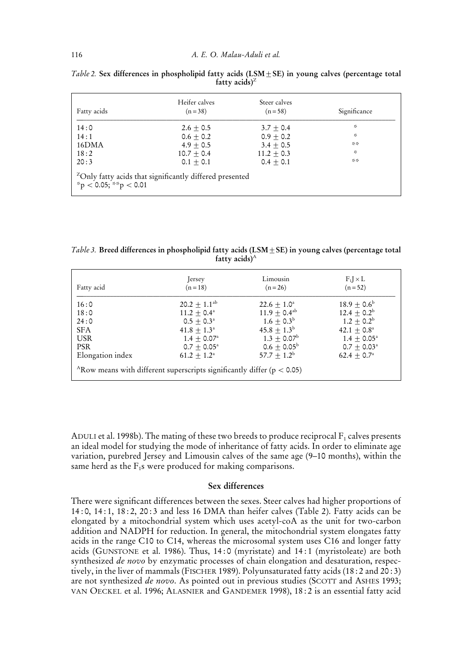| Fatty acids                                                                                           | Heifer calves<br>$(n=38)$ | Steer calves<br>$(n = 58)$ | Significance |  |  |
|-------------------------------------------------------------------------------------------------------|---------------------------|----------------------------|--------------|--|--|
| 14:0                                                                                                  | $2.6 + 0.5$               | $3.7 + 0.4$                | ÷            |  |  |
| 14:1                                                                                                  | $0.6 + 0.2$               | $0.9 + 0.2$                | ÷            |  |  |
| 16DMA                                                                                                 | $4.9 + 0.5$               | $3.4 + 0.5$                | 冷冷           |  |  |
| 18:2                                                                                                  | $10.7 \pm 0.4$            | $11.2 + 0.3$               | ÷            |  |  |
| 20:3                                                                                                  | $0.1 + 0.1$               | $0.4 + 0.1$                | $26 - 26$    |  |  |
| <sup>2</sup> Only fatty acids that significantly differed presented<br>$*_{\rm p}$ < 0.05; **p < 0.01 |                           |                            |              |  |  |

*Table 2.* Sex differences in phospholipid fatty acids (LSM  $\pm$  SE) in young calves (percentage total **fatty acids)**<sup>Z</sup>

*Table 3.* **Breed differences in phospholipid fatty acids (LSM**2**SE) in young calves (percentage total fatty acids)**<sup>A</sup>

| Fatty acid                                                                 | Jersey                    | Limousin               | $F_1 \times L$        |  |  |
|----------------------------------------------------------------------------|---------------------------|------------------------|-----------------------|--|--|
|                                                                            | $(n = 18)$                | $(n = 26)$             | $(n = 52)$            |  |  |
| 16:0                                                                       | $20.2 \pm 1.1^{ab}$       | $22.6 \pm 1.0^a$       | $18.9 + 0.6^{\circ}$  |  |  |
| 18:0                                                                       | $11.2 + 0.4^{\circ}$      | $11.9 \pm 0.4^{ab}$    | $12.4 + 0.2^b$        |  |  |
| 24:0                                                                       | $0.5 + 0.3^{\circ}$       | $1.6 + 0.3^b$          | $1.2 \pm 0.2^{\rm b}$ |  |  |
| <b>SFA</b>                                                                 | $41.8 + 1.3^a$            | $45.8 \pm 1.3^{\rm b}$ | $42.1 + 0.8^{\circ}$  |  |  |
| <b>USR</b>                                                                 | $1.4 + 0.07$ <sup>a</sup> | $1.3 + 0.07^{\rm b}$   | $1.4 + 0.05^{\circ}$  |  |  |
| <b>PSR</b>                                                                 | $0.7 + 0.05^{\circ}$      | $0.6 \pm 0.05^{\rm b}$ | $0.7 + 0.03^{\circ}$  |  |  |
| Elongation index                                                           | $61.2 + 1.2^{\circ}$      | $57.7 + 1.2^b$         | $62.4 + 0.7^{\circ}$  |  |  |
| ARow means with different superscripts significantly differ ( $p < 0.05$ ) |                           |                        |                       |  |  |

ADULI et al. 1998b). The mating of these two breeds to produce reciprocal  $F_1$  calves presents an ideal model for studying the mode of inheritance of fatty acids. In order to eliminate age variation, purebred Jersey and Limousin calves of the same age (9–10 months), within the same herd as the  $F_1$ s were produced for making comparisons.

# **Sex differences**

There were significant differences between the sexes. Steer calves had higher proportions of 14 : 0, 14 : 1, 18 : 2, 20 : 3 and less 16 DMA than heifer calves (Table 2). Fatty acids can be elongated by a mitochondrial system which uses acetyl-coA as the unit for two-carbon addition and NADPH for reduction. In general, the mitochondrial system elongates fatty acids in the range C10 to C14, whereas the microsomal system uses C16 and longer fatty acids (GUNSTONE et al. 1986). Thus, 14 : 0 (myristate) and 14 : 1 (myristoleate) are both synthesized *de novo* by enzymatic processes of chain elongation and desaturation, respectively, in the liver of mammals (FISCHER 1989). Polyunsaturated fatty acids (18 : 2 and 20 : 3) are not synthesized *de novo*. As pointed out in previous studies (SCOTT and ASHES 1993; VAN OECKEL et al. 1996; ALASNIER and GANDEMER 1998), 18 : 2 is an essential fatty acid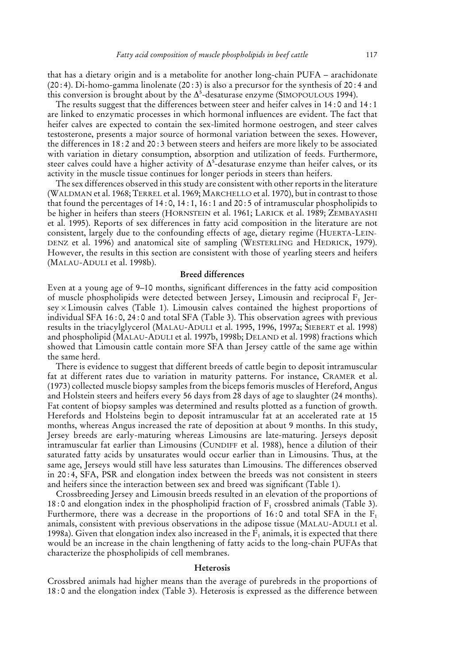that has a dietary origin and is a metabolite for another long-chain PUFA – arachidonate (20 : 4). Di-homo-gamma linolenate (20 : 3) is also a precursor for the synthesis of 20 : 4 and this conversion is brought about by the  $\Delta^5$ -desaturase enzyme (SIMOPOULOUS 1994).

The results suggest that the differences between steer and heifer calves in 14 : 0 and 14 : 1 are linked to enzymatic processes in which hormonal influences are evident. The fact that heifer calves are expected to contain the sex-limited hormone oestrogen, and steer calves testosterone, presents a major source of hormonal variation between the sexes. However, the differences in 18 : 2 and 20 : 3 between steers and heifers are more likely to be associated with variation in dietary consumption, absorption and utilization of feeds. Furthermore, steer calves could have a higher activity of  $\Delta^5$ -desaturase enzyme than heifer calves, or its activity in the muscle tissue continues for longer periods in steers than heifers.

The sex differences observed in this study are consistent with other reports in the literature (WALDMAN et al. 1968; TERREL et al. 1969; MARCHELLO et al. 1970), but in contrast to those that found the percentages of 14 : 0, 14 : 1, 16 : 1 and 20 : 5 of intramuscular phospholipids to be higher in heifers than steers (HORNSTEIN et al. 1961; LARICK et al. 1989; ZEMBAYASHI et al. 1995). Reports of sex differences in fatty acid composition in the literature are not consistent, largely due to the confounding effects of age, dietary regime (HUERTA-LEIN-DENZ et al. 1996) and anatomical site of sampling (WESTERLING and HEDRICK, 1979). However, the results in this section are consistent with those of yearling steers and heifers (MALAU-ADULI et al. 1998b).

#### **Breed differences**

Even at a young age of 9–10 months, significant differences in the fatty acid composition of muscle phospholipids were detected between Jersey, Limousin and reciprocal  $F_1$  Jer- $\text{sey} \times \text{Limousin}$  calves (Table 1). Limousin calves contained the highest proportions of individual SFA 16 : 0, 24 : 0 and total SFA (Table 3). This observation agrees with previous results in the triacylglycerol (MALAU-ADULI et al. 1995, 1996, 1997a; SIEBERT et al. 1998) and phospholipid (MALAU-ADULI et al. 1997b, 1998b; DELAND et al. 1998) fractions which showed that Limousin cattle contain more SFA than Jersey cattle of the same age within the same herd.

There is evidence to suggest that different breeds of cattle begin to deposit intramuscular fat at different rates due to variation in maturity patterns. For instance, CRAMER et al. (1973) collected muscle biopsy samples from the biceps femoris muscles of Hereford, Angus and Holstein steers and heifers every 56 days from 28 days of age to slaughter (24 months). Fat content of biopsy samples was determined and results plotted as a function of growth. Herefords and Holsteins begin to deposit intramuscular fat at an accelerated rate at 15 months, whereas Angus increased the rate of deposition at about 9 months. In this study, Jersey breeds are early-maturing whereas Limousins are late-maturing. Jerseys deposit intramuscular fat earlier than Limousins (CUNDIFF et al. 1988), hence a dilution of their saturated fatty acids by unsaturates would occur earlier than in Limousins. Thus, at the same age, Jerseys would still have less saturates than Limousins. The differences observed in 20 : 4, SFA, PSR and elongation index between the breeds was not consistent in steers and heifers since the interaction between sex and breed was significant (Table 1).

Crossbreeding Jersey and Limousin breeds resulted in an elevation of the proportions of 18:0 and elongation index in the phospholipid fraction of  $F_1$  crossbred animals (Table 3). Furthermore, there was a decrease in the proportions of 16:0 and total SFA in the  $F_1$ animals, consistent with previous observations in the adipose tissue (MALAU-ADULI et al. 1998a). Given that elongation index also increased in the  $F_1$  animals, it is expected that there would be an increase in the chain lengthening of fatty acids to the long-chain PUFAs that characterize the phospholipids of cell membranes.

#### **Heterosis**

Crossbred animals had higher means than the average of purebreds in the proportions of 18 : 0 and the elongation index (Table 3). Heterosis is expressed as the difference between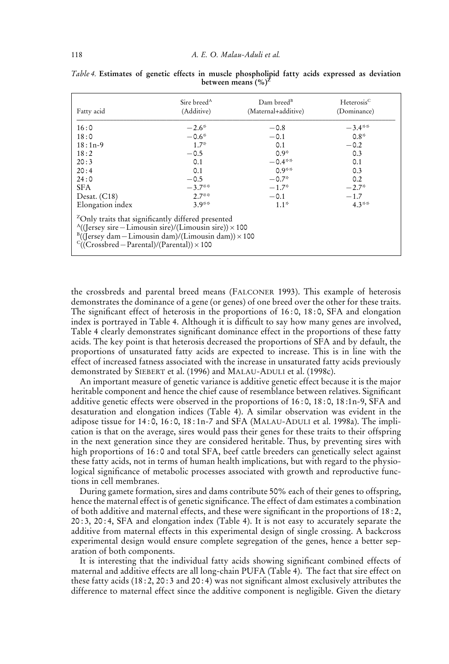| Fatty acid                                                                                                                                                                                                                                                             | Sire breed <sup>A</sup><br>(Additive) | Dam breed <sup>B</sup><br>(Maternal+additive) | Heterosis <sup>C</sup><br>(Dominance) |  |  |  |
|------------------------------------------------------------------------------------------------------------------------------------------------------------------------------------------------------------------------------------------------------------------------|---------------------------------------|-----------------------------------------------|---------------------------------------|--|--|--|
| 16:0                                                                                                                                                                                                                                                                   | $-2.6*$                               | $-0.8$                                        | $-3.4***$                             |  |  |  |
| 18:0                                                                                                                                                                                                                                                                   | $-0.6*$                               | $-0.1$                                        | $0.8*$                                |  |  |  |
| $18:1n-9$                                                                                                                                                                                                                                                              | $1.7*$                                | 0.1                                           | $-0.2$                                |  |  |  |
| 18:2                                                                                                                                                                                                                                                                   | $-0.5$                                | $0.9*$                                        | 0.3                                   |  |  |  |
| 20:3                                                                                                                                                                                                                                                                   | 0.1                                   | $-0.4***$                                     | 0.1                                   |  |  |  |
| 20:4                                                                                                                                                                                                                                                                   | 0.1                                   | $0.9**$                                       | 0.3                                   |  |  |  |
| 24:0                                                                                                                                                                                                                                                                   | $-0.5$                                | $-0.7*$                                       | 0.2                                   |  |  |  |
| <b>SFA</b>                                                                                                                                                                                                                                                             | $-3.7**$                              | $-1.7*$                                       | $-2.7*$                               |  |  |  |
| Desat. $(C18)$                                                                                                                                                                                                                                                         | $2.7**$                               | $-0.1$                                        | $-1.7$                                |  |  |  |
| Elongation index                                                                                                                                                                                                                                                       | $3.9**$                               | $1.1*$                                        | $4.3**$                               |  |  |  |
| <sup>2</sup> Only traits that significantly differed presented<br>$^{A}$ ((Jersey sire – Limousin sire)/(Limousin sire)) × 100<br>$B((\text{Iersey dam} - \text{Limousin dam})/(\text{Limousin dam})) \times 100$<br>$C((Crossbred - Parental)/(Parental)) \times 100$ |                                       |                                               |                                       |  |  |  |

*Table 4.* **Estimates of genetic effects in muscle phospholipid fatty acids expressed as deviation between means (%)<sup>Z</sup>**

the crossbreds and parental breed means (FALCONER 1993). This example of heterosis demonstrates the dominance of a gene (or genes) of one breed over the other for these traits. The significant effect of heterosis in the proportions of 16 : 0, 18 : 0, SFA and elongation index is portrayed in Table 4. Although it is difficult to say how many genes are involved, Table 4 clearly demonstrates significant dominance effect in the proportions of these fatty acids. The key point is that heterosis decreased the proportions of SFA and by default, the proportions of unsaturated fatty acids are expected to increase. This is in line with the effect of increased fatness associated with the increase in unsaturated fatty acids previously demonstrated by SIEBERT et al. (1996) and MALAU-ADULI et al. (1998c).

An important measure of genetic variance is additive genetic effect because it is the major heritable component and hence the chief cause of resemblance between relatives. Significant additive genetic effects were observed in the proportions of 16 : 0, 18 : 0, 18 :1n-9, SFA and desaturation and elongation indices (Table 4). A similar observation was evident in the adipose tissue for  $14:0$ ,  $16:0$ ,  $18:1n-7$  and SFA (MALAU-ADULI et al. 1998a). The implication is that on the average, sires would pass their genes for these traits to their offspring in the next generation since they are considered heritable. Thus, by preventing sires with high proportions of 16:0 and total SFA, beef cattle breeders can genetically select against these fatty acids, not in terms of human health implications, but with regard to the physiological significance of metabolic processes associated with growth and reproductive functions in cell membranes.

During gamete formation, sires and dams contribute 50% each of their genes to offspring, hence the maternal effect is of genetic significance. The effect of dam estimates a combination of both additive and maternal effects, and these were significant in the proportions of 18 : 2, 20 : 3, 20 : 4, SFA and elongation index (Table 4). It is not easy to accurately separate the additive from maternal effects in this experimental design of single crossing. A backcross experimental design would ensure complete segregation of the genes, hence a better separation of both components.

It is interesting that the individual fatty acids showing significant combined effects of maternal and additive effects are all long-chain PUFA (Table 4). The fact that sire effect on these fatty acids (18 : 2, 20 : 3 and 20 : 4) was not significant almost exclusively attributes the difference to maternal effect since the additive component is negligible. Given the dietary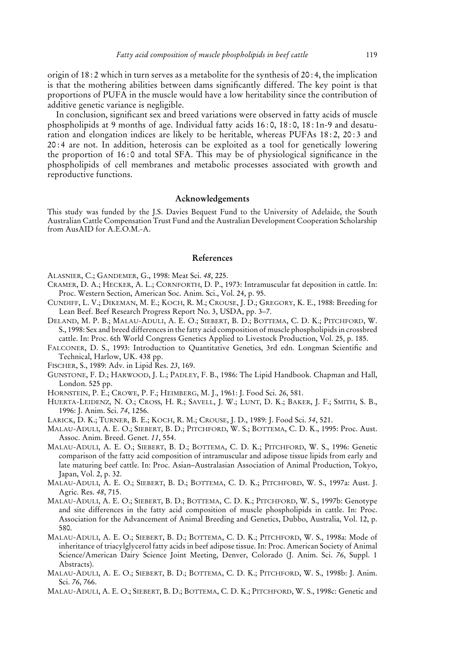origin of 18 : 2 which in turn serves as a metabolite for the synthesis of 20 : 4, the implication is that the mothering abilities between dams significantly differed. The key point is that proportions of PUFA in the muscle would have a low heritability since the contribution of additive genetic variance is negligible.

In conclusion, significant sex and breed variations were observed in fatty acids of muscle phospholipids at 9 months of age. Individual fatty acids 16 : 0, 18 : 0, 18 : 1n-9 and desaturation and elongation indices are likely to be heritable, whereas PUFAs 18:2, 20:3 and 20 : 4 are not. In addition, heterosis can be exploited as a tool for genetically lowering the proportion of 16 : 0 and total SFA. This may be of physiological significance in the phospholipids of cell membranes and metabolic processes associated with growth and reproductive functions.

## **Acknowledgements**

This study was funded by the J.S. Davies Bequest Fund to the University of Adelaide, the South Australian Cattle Compensation Trust Fund and the Australian Development Cooperation Scholarship from AusAID for A.E.O.M.-A.

#### **References**

ALASNIER, C.; GANDEMER, G., 1998: Meat Sci. *48*, 225.

- CRAMER, D. A.; HECKER, A. L.; CORNFORTH, D. P., 1973: Intramuscular fat deposition in cattle. In: Proc. Western Section, American Soc. Anim. Sci., Vol. 24, p. 95.
- CUNDIFF, L. V.; DIKEMAN, M. E.; KOCH, R. M.; CROUSE, J. D.; GREGORY, K. E., 1988: Breeding for Lean Beef. Beef Research Progress Report No. 3, USDA, pp. 3–7.
- DELAND, M. P. B.; MALAU-ADULI, A. E. O.; SIEBERT, B. D.; BOTTEMA, C. D. K.; PITCHFORD, W. S., 1998: Sex and breed differences in the fatty acid composition of muscle phospholipids in crossbred cattle. In: Proc. 6th World Congress Genetics Applied to Livestock Production, Vol. 25, p. 185.
- FALCONER, D. S., 1993: Introduction to Quantitative Genetics, 3rd edn. Longman Scientific and Technical, Harlow, UK. 438 pp.
- FISCHER, S., 1989: Adv. in Lipid Res. *23*, 169.
- GUNSTONE, F. D.; HARWOOD, J. L.; PADLEY, F. B., 1986: The Lipid Handbook. Chapman and Hall, London. 525 pp.
- HORNSTEIN, P. E.; CROWE, P. F.; HEIMBERG, M. J., 1961: J. Food Sci. *26*, 581.
- HUERTA-LEIDENZ, N. O.; CROSS, H. R.; SAVELL, J. W.; LUNT, D. K.; BAKER, J. F.; SMITH, S. B., 1996: J. Anim. Sci. *74*, 1256.
- LARICK, D. K.; TURNER, B. E.; KOCH, R. M.; CROUSE, J. D., 1989: J. Food Sci. *54*, 521.
- MALAU-ADULI, A. E. O.; SIEBERT, B. D.; PITCHFORD, W. S.; BOTTEMA, C. D. K., 1995: Proc. Aust. Assoc. Anim. Breed. Genet. *11*, 554.
- MALAU-ADULI, A. E. O.; SIEBERT, B. D.; BOTTEMA, C. D. K.; PITCHFORD, W. S., 1996: Genetic comparison of the fatty acid composition of intramuscular and adipose tissue lipids from early and late maturing beef cattle. In: Proc. Asian–Australasian Association of Animal Production, Tokyo, Japan, Vol. 2, p. 32.
- MALAU-ADULI, A. E. O.; SIEBERT, B. D.; BOTTEMA, C. D. K.; PITCHFORD, W. S., 1997a: Aust. J. Agric. Res. *48*, 715.
- MALAU-ADULI, A. E. O.; SIEBERT, B. D.; BOTTEMA, C. D. K.; PITCHFORD, W. S., 1997b: Genotype and site differences in the fatty acid composition of muscle phospholipids in cattle. In: Proc. Association for the Advancement of Animal Breeding and Genetics, Dubbo, Australia, Vol. 12, p. 580.
- MALAU-ADULI, A. E. O.; SIEBERT, B. D.; BOTTEMA, C. D. K.; PITCHFORD, W. S., 1998a: Mode of inheritance of triacylglycerol fatty acids in beef adipose tissue. In: Proc. American Society of Animal Science/American Dairy Science Joint Meeting, Denver, Colorado (J. Anim. Sci. *76*, Suppl. 1 Abstracts).
- MALAU-ADULI, A. E. O.; SIEBERT, B. D.; BOTTEMA, C. D. K.; PITCHFORD, W. S., 1998b: J. Anim. Sci. *76*, 766.
- MALAU-ADULI, A. E. O.; SIEBERT, B. D.; BOTTEMA, C. D. K.; PITCHFORD, W. S., 1998c: Genetic and